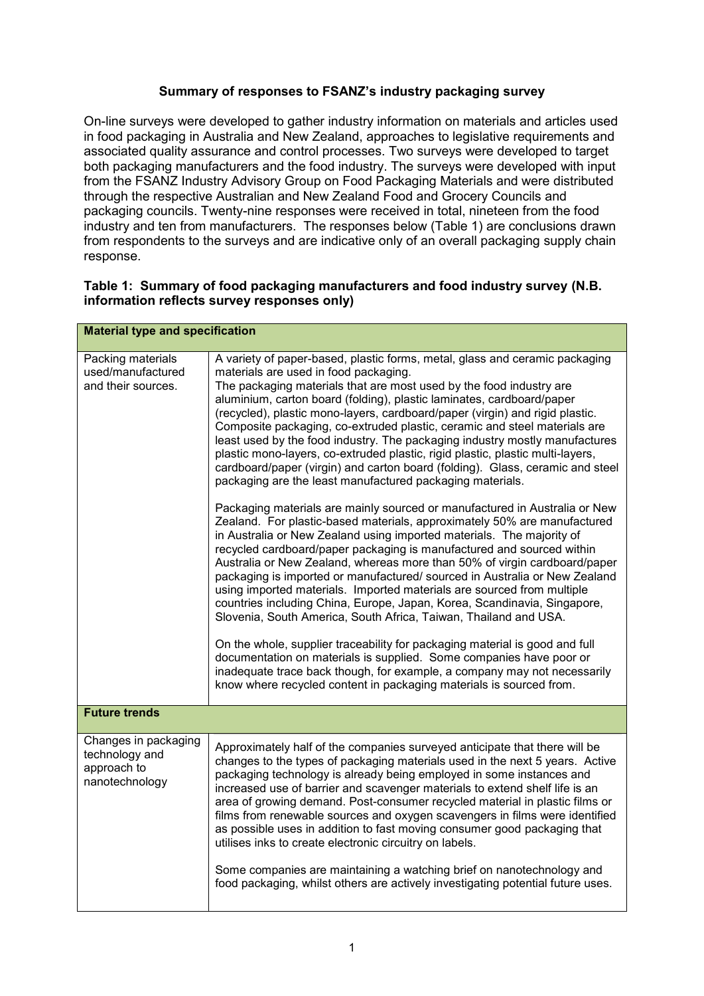## **Summary of responses to FSANZ's industry packaging survey**

On-line surveys were developed to gather industry information on materials and articles used in food packaging in Australia and New Zealand, approaches to legislative requirements and associated quality assurance and control processes. Two surveys were developed to target both packaging manufacturers and the food industry. The surveys were developed with input from the FSANZ Industry Advisory Group on Food Packaging Materials and were distributed through the respective Australian and New Zealand Food and Grocery Councils and packaging councils. Twenty-nine responses were received in total, nineteen from the food industry and ten from manufacturers. The responses below (Table 1) are conclusions drawn from respondents to the surveys and are indicative only of an overall packaging supply chain response.

## **Table 1: Summary of food packaging manufacturers and food industry survey (N.B. information reflects survey responses only)**

| <b>Material type and specification</b>                                  |                                                                                                                                                                                                                                                                                                                                                                                                                                                                                                                                                                                                                                                                                                                                                                                                                                                                                                                                                                                                                                                                                                                                                                                                                                                                                                                                                                                                                                                                                                                                                                                                                                                                                                                                                           |  |
|-------------------------------------------------------------------------|-----------------------------------------------------------------------------------------------------------------------------------------------------------------------------------------------------------------------------------------------------------------------------------------------------------------------------------------------------------------------------------------------------------------------------------------------------------------------------------------------------------------------------------------------------------------------------------------------------------------------------------------------------------------------------------------------------------------------------------------------------------------------------------------------------------------------------------------------------------------------------------------------------------------------------------------------------------------------------------------------------------------------------------------------------------------------------------------------------------------------------------------------------------------------------------------------------------------------------------------------------------------------------------------------------------------------------------------------------------------------------------------------------------------------------------------------------------------------------------------------------------------------------------------------------------------------------------------------------------------------------------------------------------------------------------------------------------------------------------------------------------|--|
| Packing materials<br>used/manufactured<br>and their sources.            | A variety of paper-based, plastic forms, metal, glass and ceramic packaging<br>materials are used in food packaging.<br>The packaging materials that are most used by the food industry are<br>aluminium, carton board (folding), plastic laminates, cardboard/paper<br>(recycled), plastic mono-layers, cardboard/paper (virgin) and rigid plastic.<br>Composite packaging, co-extruded plastic, ceramic and steel materials are<br>least used by the food industry. The packaging industry mostly manufactures<br>plastic mono-layers, co-extruded plastic, rigid plastic, plastic multi-layers,<br>cardboard/paper (virgin) and carton board (folding). Glass, ceramic and steel<br>packaging are the least manufactured packaging materials.<br>Packaging materials are mainly sourced or manufactured in Australia or New<br>Zealand. For plastic-based materials, approximately 50% are manufactured<br>in Australia or New Zealand using imported materials. The majority of<br>recycled cardboard/paper packaging is manufactured and sourced within<br>Australia or New Zealand, whereas more than 50% of virgin cardboard/paper<br>packaging is imported or manufactured/sourced in Australia or New Zealand<br>using imported materials. Imported materials are sourced from multiple<br>countries including China, Europe, Japan, Korea, Scandinavia, Singapore,<br>Slovenia, South America, South Africa, Taiwan, Thailand and USA.<br>On the whole, supplier traceability for packaging material is good and full<br>documentation on materials is supplied. Some companies have poor or<br>inadequate trace back though, for example, a company may not necessarily<br>know where recycled content in packaging materials is sourced from. |  |
| <b>Future trends</b>                                                    |                                                                                                                                                                                                                                                                                                                                                                                                                                                                                                                                                                                                                                                                                                                                                                                                                                                                                                                                                                                                                                                                                                                                                                                                                                                                                                                                                                                                                                                                                                                                                                                                                                                                                                                                                           |  |
| Changes in packaging<br>technology and<br>approach to<br>nanotechnology | Approximately half of the companies surveyed anticipate that there will be<br>changes to the types of packaging materials used in the next 5 years. Active<br>packaging technology is already being employed in some instances and<br>increased use of barrier and scavenger materials to extend shelf life is an<br>area of growing demand. Post-consumer recycled material in plastic films or<br>films from renewable sources and oxygen scavengers in films were identified<br>as possible uses in addition to fast moving consumer good packaging that<br>utilises inks to create electronic circuitry on labels.<br>Some companies are maintaining a watching brief on nanotechnology and<br>food packaging, whilst others are actively investigating potential future uses.                                                                                                                                                                                                                                                                                                                                                                                                                                                                                                                                                                                                                                                                                                                                                                                                                                                                                                                                                                        |  |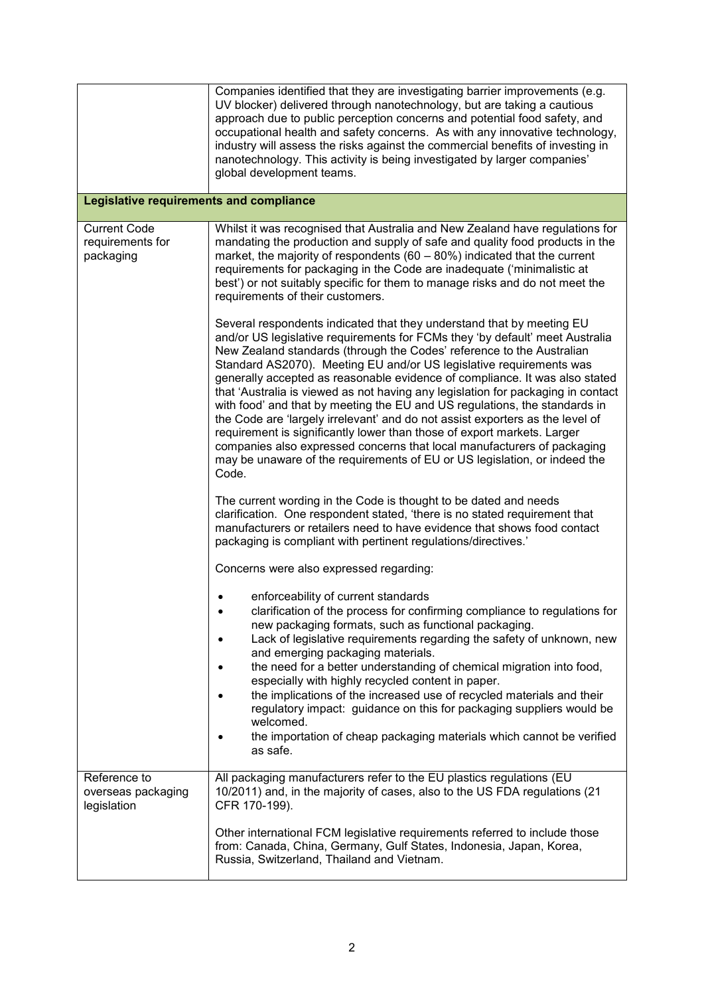|                                                      | Companies identified that they are investigating barrier improvements (e.g.<br>UV blocker) delivered through nanotechnology, but are taking a cautious<br>approach due to public perception concerns and potential food safety, and<br>occupational health and safety concerns. As with any innovative technology,<br>industry will assess the risks against the commercial benefits of investing in<br>nanotechnology. This activity is being investigated by larger companies'<br>global development teams.                                                                                                                                                                                                                                                                                                                                                                       |  |
|------------------------------------------------------|-------------------------------------------------------------------------------------------------------------------------------------------------------------------------------------------------------------------------------------------------------------------------------------------------------------------------------------------------------------------------------------------------------------------------------------------------------------------------------------------------------------------------------------------------------------------------------------------------------------------------------------------------------------------------------------------------------------------------------------------------------------------------------------------------------------------------------------------------------------------------------------|--|
| <b>Legislative requirements and compliance</b>       |                                                                                                                                                                                                                                                                                                                                                                                                                                                                                                                                                                                                                                                                                                                                                                                                                                                                                     |  |
| <b>Current Code</b><br>requirements for<br>packaging | Whilst it was recognised that Australia and New Zealand have regulations for<br>mandating the production and supply of safe and quality food products in the<br>market, the majority of respondents $(60 - 80%)$ indicated that the current<br>requirements for packaging in the Code are inadequate ('minimalistic at<br>best') or not suitably specific for them to manage risks and do not meet the<br>requirements of their customers.                                                                                                                                                                                                                                                                                                                                                                                                                                          |  |
|                                                      | Several respondents indicated that they understand that by meeting EU<br>and/or US legislative requirements for FCMs they 'by default' meet Australia<br>New Zealand standards (through the Codes' reference to the Australian<br>Standard AS2070). Meeting EU and/or US legislative requirements was<br>generally accepted as reasonable evidence of compliance. It was also stated<br>that 'Australia is viewed as not having any legislation for packaging in contact<br>with food' and that by meeting the EU and US regulations, the standards in<br>the Code are 'largely irrelevant' and do not assist exporters as the level of<br>requirement is significantly lower than those of export markets. Larger<br>companies also expressed concerns that local manufacturers of packaging<br>may be unaware of the requirements of EU or US legislation, or indeed the<br>Code. |  |
|                                                      | The current wording in the Code is thought to be dated and needs<br>clarification. One respondent stated, 'there is no stated requirement that<br>manufacturers or retailers need to have evidence that shows food contact<br>packaging is compliant with pertinent regulations/directives.'                                                                                                                                                                                                                                                                                                                                                                                                                                                                                                                                                                                        |  |
|                                                      | Concerns were also expressed regarding:                                                                                                                                                                                                                                                                                                                                                                                                                                                                                                                                                                                                                                                                                                                                                                                                                                             |  |
|                                                      | enforceability of current standards<br>clarification of the process for confirming compliance to regulations for<br>new packaging formats, such as functional packaging.<br>Lack of legislative requirements regarding the safety of unknown, new<br>and emerging packaging materials.<br>the need for a better understanding of chemical migration into food,<br>especially with highly recycled content in paper.<br>the implications of the increased use of recycled materials and their<br>regulatory impact: guidance on this for packaging suppliers would be<br>welcomed.<br>the importation of cheap packaging materials which cannot be verified<br>as safe.                                                                                                                                                                                                              |  |
| Reference to<br>overseas packaging<br>legislation    | All packaging manufacturers refer to the EU plastics regulations (EU<br>10/2011) and, in the majority of cases, also to the US FDA regulations (21<br>CFR 170-199).                                                                                                                                                                                                                                                                                                                                                                                                                                                                                                                                                                                                                                                                                                                 |  |
|                                                      | Other international FCM legislative requirements referred to include those<br>from: Canada, China, Germany, Gulf States, Indonesia, Japan, Korea,<br>Russia, Switzerland, Thailand and Vietnam.                                                                                                                                                                                                                                                                                                                                                                                                                                                                                                                                                                                                                                                                                     |  |